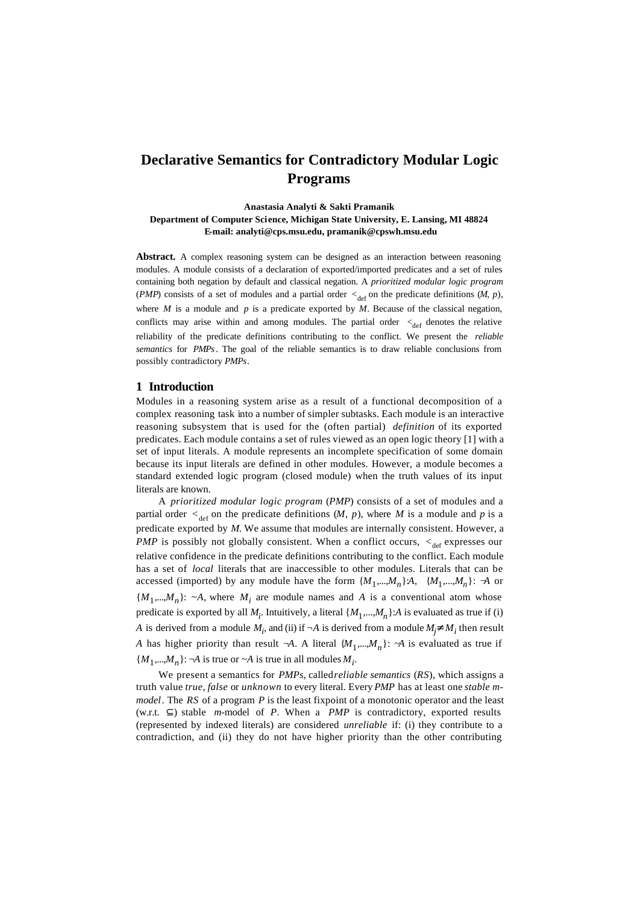# **Declarative Semantics for Contradictory Modular Logic Programs**

**Anastasia Analyti & Sakti Pramanik Department of Computer Science, Michigan State University, E. Lansing, MI 48824 E-mail: analyti@cps.msu.edu, pramanik@cpswh.msu.edu**

**Abstract.** A complex reasoning system can be designed as an interaction between reasoning modules. A module consists of a declaration of exported/imported predicates and a set of rules containing both negation by default and classical negation. A *prioritized modular logic program* (*PMP*) consists of a set of modules and a partial order  $\lt_{def}$  on the predicate definitions (*M*, *p*), where *M* is a module and *p* is a predicate exported by *M*. Because of the classical negation, conflicts may arise within and among modules. The partial order  $\lt_{def}$  denotes the relative reliability of the predicate definitions contributing to the conflict. We present the *reliable semantics* for *PMPs*. The goal of the reliable semantics is to draw reliable conclusions from possibly contradictory *PMPs*.

#### **1 Introduction**

Modules in a reasoning system arise as a result of a functional decomposition of a complex reasoning task into a number of simpler subtasks. Each module is an interactive reasoning subsystem that is used for the (often partial) *definition* of its exported predicates. Each module contains a set of rules viewed as an open logic theory [1] with a set of input literals. A module represents an incomplete specification of some domain because its input literals are defined in other modules. However, a module becomes a standard extended logic program (closed module) when the truth values of its input literals are known.

A *prioritized modular logic program* (*PMP*) consists of a set of modules and a partial order  $\leq_{def}$  on the predicate definitions  $(M, p)$ , where M is a module and p is a predicate exported by *M*. We assume that modules are internally consistent. However, a *PMP* is possibly not globally consistent. When a conflict occurs,  $\lt_{def}$  expresses our relative confidence in the predicate definitions contributing to the conflict. Each module has a set of *local* literals that are inaccessible to other modules. Literals that can be accessed (imported) by any module have the form  $\{M_1, ..., M_n\}$ ;  $A$ ,  $\{M_1, ..., M_n\}$ ;  $A$  or  ${M_1,...,M_n}$ : ~*A*, where  $M_i$  are module names and *A* is a conventional atom whose predicate is exported by all  $M_i$ . Intuitively, a literal  $\{M_1, ..., M_n\}$ : *A* is evaluated as true if (i) *A* is derived from a module  $M_i$ , and (ii) if  $\neg A$  is derived from a module  $M_j \neq M_i$ , then result *A* has higher priority than result  $\neg A$ . A literal  $\{M_1, ..., M_n\}$ :  $\neg A$  is evaluated as true if  $\{M_1, \ldots, M_n\}$ :  $\neg A$  is true or  $\neg A$  is true in all modules  $M_i$ .

We present a semantics for *PMPs*, called *reliable semantics* (*RS*), which assigns a truth value *true*, *false* or *unknown* to every literal. Every *PMP* has at least one *stable mmodel*. The *RS* of a program *P* is the least fixpoint of a monotonic operator and the least (w.r.t. ⊆) stable *m-*model of *P*. When a *PMP* is contradictory, exported results (represented by indexed literals) are considered *unreliable* if: (i) they contribute to a contradiction, and (ii) they do not have higher priority than the other contributing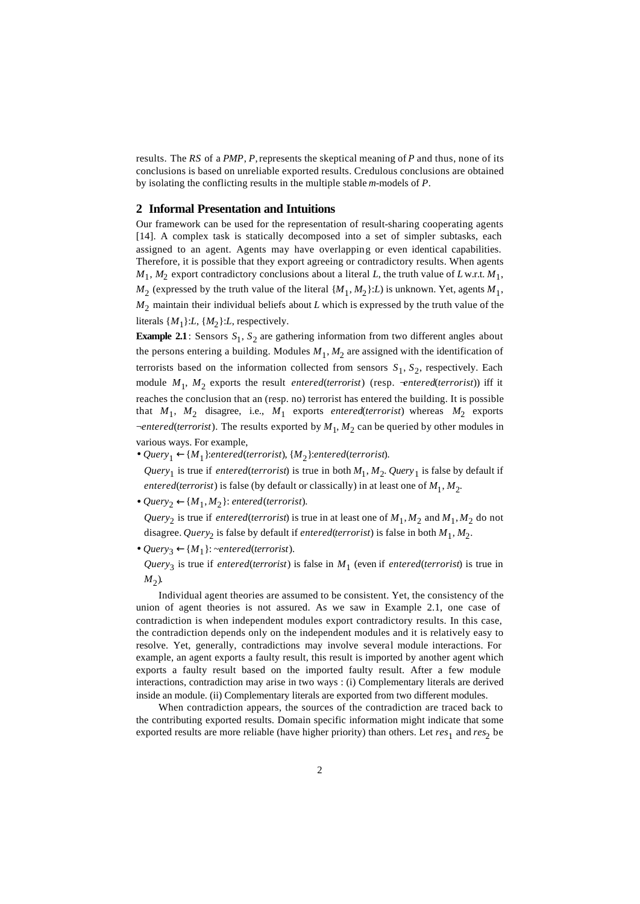results. The *RS* of a *PMP*, *P*, represents the skeptical meaning of *P* and thus, none of its conclusions is based on unreliable exported results. Credulous conclusions are obtained by isolating the conflicting results in the multiple stable *m*-models of *P*.

### **2 Informal Presentation and Intuitions**

Our framework can be used for the representation of result-sharing cooperating agents [14]. A complex task is statically decomposed into a set of simpler subtasks, each assigned to an agent. Agents may have overlapping or even identical capabilities. Therefore, it is possible that they export agreeing or contradictory results. When agents *M*1 , *M*2 export contradictory conclusions about a literal *L*, the truth value of *L* w.r.t. *M*1 ,  $M_2$  (expressed by the truth value of the literal  $\{M_1, M_2\}$ :*L*) is unknown. Yet, agents  $M_1$ , *M*2 maintain their individual beliefs about *L* which is expressed by the truth value of the literals  $\{M_1\}:\mathcal{L}, \{M_2\}:\mathcal{L}$ , respectively.

**Example 2.1**: Sensors  $S_1$ ,  $S_2$  are gathering information from two different angles about the persons entering a building. Modules  $M_1, M_2$  are assigned with the identification of terrorists based on the information collected from sensors  $S_1$ ,  $S_2$ , respectively. Each module *M*<sup>1</sup> , *M*2 exports the result *entered*(*terrorist*) (resp. ¬*entered*(*terrorist*)) iff it reaches the conclusion that an (resp. no) terrorist has entered the building. It is possible that *M*<sup>1</sup> , *M*2 disagree, i.e., *M*<sup>1</sup> exports *entered*(*terrorist*) whereas *M*<sup>2</sup> exports ¬*entered*(*terrorist*). The results exported by *M*<sup>1</sup> , *M*2 can be queried by other modules in various ways. For example,

• *Query*<sup>1</sup> ←{*M*<sup>1</sup> }:*entered*(*terrorist*), {*M*<sup>2</sup> }:*entered*(*terrorist*).

*Query*<sub>1</sub> is true if *entered*(*terrorist*) is true in both  $M_1$ ,  $M_2$ . *Query*<sub>1</sub> is false by default if *entered*(*terrorist*) is false (by default or classically) in at least one of  $M_1, M_2$ .

•  $Query_2 \leftarrow \{M_1, M_2\}$ : entered(*terrorist*).

*Query*<sub>2</sub> is true if *entered*(*terrorist*) is true in at least one of  $M_1$ ,  $M_2$  and  $M_1$ ,  $M_2$  do not disagree. *Query*<sub>2</sub> is false by default if *entered*(*terrorist*) is false in both  $M_1, M_2$ .

•  $Query_3 \leftarrow \{M_1\}$ : ~*entered*(*terrorist*).

*Query*<sup>3</sup> is true if *entered*(*terrorist*) is false in *M*1 (even if *entered*(*terrorist*) is true in  $M_2$ ).

Individual agent theories are assumed to be consistent. Yet, the consistency of the union of agent theories is not assured. As we saw in Example 2.1, one case of contradiction is when independent modules export contradictory results. In this case, the contradiction depends only on the independent modules and it is relatively easy to resolve. Yet, generally, contradictions may involve several module interactions. For example, an agent exports a faulty result, this result is imported by another agent which exports a faulty result based on the imported faulty result. After a few module interactions, contradiction may arise in two ways : (i) Complementary literals are derived inside an module. (ii) Complementary literals are exported from two different modules.

When contradiction appears, the sources of the contradiction are traced back to the contributing exported results. Domain specific information might indicate that some exported results are more reliable (have higher priority) than others. Let  $res_1$  and  $res_2$  be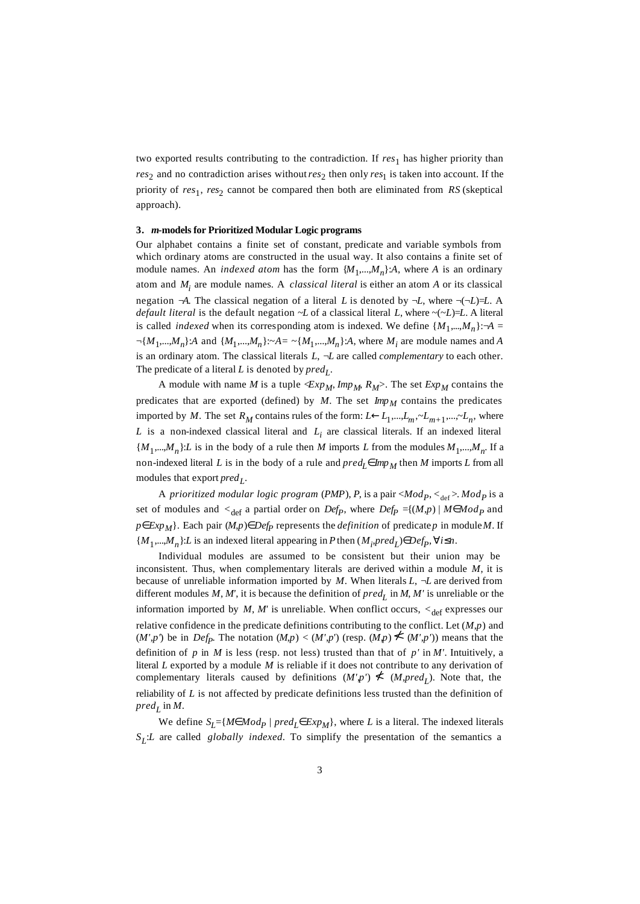two exported results contributing to the contradiction. If  $res<sub>1</sub>$  has higher priority than *res*2 and no contradiction arises without *res*2 then only *res*1 is taken into account. If the priority of  $res_1$ ,  $res_2$  cannot be compared then both are eliminated from RS (skeptical approach).

#### **3.** *m-***models for Prioritized Modular Logic programs**

Our alphabet contains a finite set of constant, predicate and variable symbols from which ordinary atoms are constructed in the usual way. It also contains a finite set of module names. An *indexed atom* has the form  $\{M_1, \ldots, M_n\}$ :*A*, where *A* is an ordinary atom and *M<sup>i</sup>* are module names. A *classical literal* is either an atom *A* or its classical negation  $\neg A$ . The classical negation of a literal *L* is denoted by  $\neg L$ , where  $\neg(\neg L)\exists L$ . A *default literal* is the default negation  $\neg L$  of a classical literal *L*, where  $\neg (\neg L)=L$ . A literal is called *indexed* when its corresponding atom is indexed. We define  $\{M_1, ..., M_n\}$ : $\neg A$  =  $\neg{M_1,\ldots,M_n}:A$  and  ${M_1,\ldots,M_n}:A = \neg{M_1,\ldots,M_n}:A$ , where  $M_i$  are module names and *A* is an ordinary atom. The classical literals *L*, ¬*L* are called *complementary* to each other. The predicate of a literal *L* is denoted by *pred<sup>L</sup>* .

A module with name *M* is a tuple  $\langle Exp_M, Imp_M, R_M \rangle$ . The set  $Exp_M$  contains the predicates that are exported (defined) by  $M$ . The set  $Imp_M$  contains the predicates imported by *M*. The set  $R_M$  contains rules of the form:  $L \leftarrow L_1, ..., L_m, \sim L_{m+1}, ..., \sim L_n$ , where  $L$  is a non-indexed classical literal and  $L_i$  are classical literals. If an indexed literal  ${M_1,...,M_n}$ :*L* is in the body of a rule then *M* imports *L* from the modules  $M_1,...,M_n$ . If a non-indexed literal *L* is in the body of a rule and  $pred_{\mathcal{L}} \in Imp_{\mathcal{M}}$  then *M* imports *L* from all modules that export *pred<sup>L</sup>* .

A *prioritized modular logic program* (*PMP*), *P*, is a pair <*Mod<sup>P</sup>* , *<*def >. *Mod<sup>P</sup>* is a set of modules and  $\lt_{def}$  a partial order on *Def<sub>P</sub>*, where *Def<sub>P</sub>* ={(*M*,*p*) | *M*∈*Mod<sub>P</sub>* and *p*∈*ExpM*}. Each pair (*M*,*p*)∈*DefP* represents the *definition* of predicate *p* in module *M*. If { $M_1$ ,..., $M_n$ }:*L* is an indexed literal appearing in *P* then  $(M_i, pred_l) \in Def_P$ , ∀*i*≤*n*.

Individual modules are assumed to be consistent but their union may be inconsistent. Thus, when complementary literals are derived within a module *M*, it is because of unreliable information imported by *M*. When literals *L*, ¬*L* are derived from different modules *M*, *M'*, it is because the definition of *pred<sup>L</sup>* in *M*, *M'* is unreliable or the information imported by  $M$ ,  $M'$  is unreliable. When conflict occurs,  $\langle \cdot \rangle_{\text{def}}$  expresses our relative confidence in the predicate definitions contributing to the conflict. Let (*M*,*p*) and  $(M', p')$  be in *Def<sub>P</sub>*. The notation  $(M, p) < (M', p')$  (resp.  $(M, p) \nless M', p'$ ) means that the definition of  $p$  in  $M$  is less (resp. not less) trusted than that of  $p'$  in  $M'$ . Intuitively, a literal *L* exported by a module *M* is reliable if it does not contribute to any derivation of complementary literals caused by definitions  $(M'p') \nless (M,pred_L)$ . Note that, the reliability of *L* is not affected by predicate definitions less trusted than the definition of *pred<sup>L</sup>* in *M*.

We define  $S_L = \{MeMod_P \mid pred_L \in Exp_M\}$ , where *L* is a literal. The indexed literals *SL* :*L* are called *globally indexed*. To simplify the presentation of the semantics a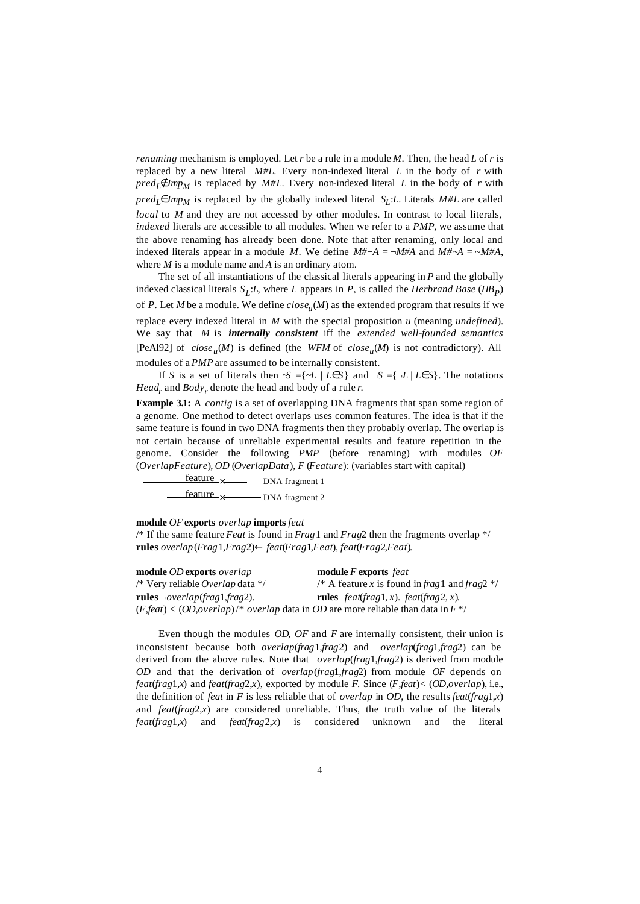*renaming* mechanism is employed. Let *r* be a rule in a module *M*. Then, the head *L* of *r* is replaced by a new literal *M#L*. Every non-indexed literal *L* in the body of *r* with *pred*<sub>*I*</sub>∉*Imp<sub>M</sub>* is replaced by *M#L*. Every non-indexed literal *L* in the body of *r* with *predL*∈*ImpM* is replaced by the globally indexed literal *S<sup>L</sup>* :*L*. Literals *M#L* are called *local* to *M* and they are not accessed by other modules. In contrast to local literals, *indexed* literals are accessible to all modules. When we refer to a *PMP*, we assume that the above renaming has already been done. Note that after renaming, only local and indexed literals appear in a module *M*. We define  $M\# \neg A = \neg M\# A$  and  $M\# \neg A = \neg M\# A$ , where *M* is a module name and *A* is an ordinary atom.

The set of all instantiations of the classical literals appearing in *P* and the globally indexed classical literals *S<sup>L</sup>* :*L*, where *L* appears in *P*, is called the *Herbrand Base* (*HB<sup>P</sup>* ) of *P*. Let *M* be a module. We define *close<sup>u</sup>* (*M*) as the extended program that results if we replace every indexed literal in *M* with the special proposition *u* (meaning *undefined*). We say that *M* is *internally consistent* iff the *extended well-founded semantics* [PeAl92] of *close*<sub>u</sub>(*M*) is defined (the *WFM* of *close*<sub>u</sub>(*M*) is not contradictory). All modules of a *PMP* are assumed to be internally consistent.

If *S* is a set of literals then  $\mathcal{S} = \{ \mathcal{L} \mid L \in S \}$  and  $\mathcal{S} = \{ \mathcal{L} \mid L \in S \}$ . The notations *Head<sup>r</sup>* and *Body<sup>r</sup>* denote the head and body of a rule *r*.

**Example 3.1:** A *contig* is a set of overlapping DNA fragments that span some region of a genome. One method to detect overlaps uses common features. The idea is that if the same feature is found in two DNA fragments then they probably overlap. The overlap is not certain because of unreliable experimental results and feature repetition in the genome. Consider the following *PMP* (before renaming) with modules *OF* (*OverlapFeature*), *OD* (*OverlapData*), *F* (*Feature*): (variables start with capital)

 feature <sup>×</sup> DNA fragment 1 feature  $_{\times}$ - DNA fragment 2

**module** *OF* **exports** *overlap* **imports** *feat*

<sup>/\*</sup> If the same feature *Feat* is found in *Frag*1 and *Frag*2 then the fragments overlap \*/ **rules** *overlap*(*Frag*1,*Frag*2)← *feat*(*Frag*1,*Feat*), *feat*(*Frag*2,*Feat*).

| <b>module OD exports</b> overlap                                                         | module F exports feat                              |
|------------------------------------------------------------------------------------------|----------------------------------------------------|
| /* Very reliable <i>Overlap</i> data */                                                  | /* A feature x is found in frag 1 and frag $2$ */  |
| <b>rules</b> $\neg overlap (frag1, frag2).$                                              | <b>rules</b> $featfrag 1, x)$ . $featfrag 2, x)$ . |
| $(F, feat) < (OD, overlap)$ /* overlap data in OD are more reliable than data in $F^*$ / |                                                    |

Even though the modules *OD*, *OF* and *F* are internally consistent, their union is inconsistent because both *overlap*(*frag*1,*frag*2) and ¬*overlap*(*frag*1,*frag*2) can be derived from the above rules. Note that ¬*overlap*(*frag*1,*frag*2) is derived from module *OD* and that the derivation of *overlap*(*frag*1,*frag*2) from module *OF* depends on *feat*(*frag*1,*x*) and *feat*(*frag*2,*x*), exported by module *F*. Since (*F*,*feat*)*<* (*OD*,*overlap*), i.e., the definition of *feat* in *F* is less reliable that of *overlap* in *OD*, the results *feat*(*frag*1,*x*) and *feat*(*frag*2,*x*) are considered unreliable. Thus, the truth value of the literals *feat*(*frag*1,*x*) and *feat*(*frag*2,*x*) is considered unknown and the literal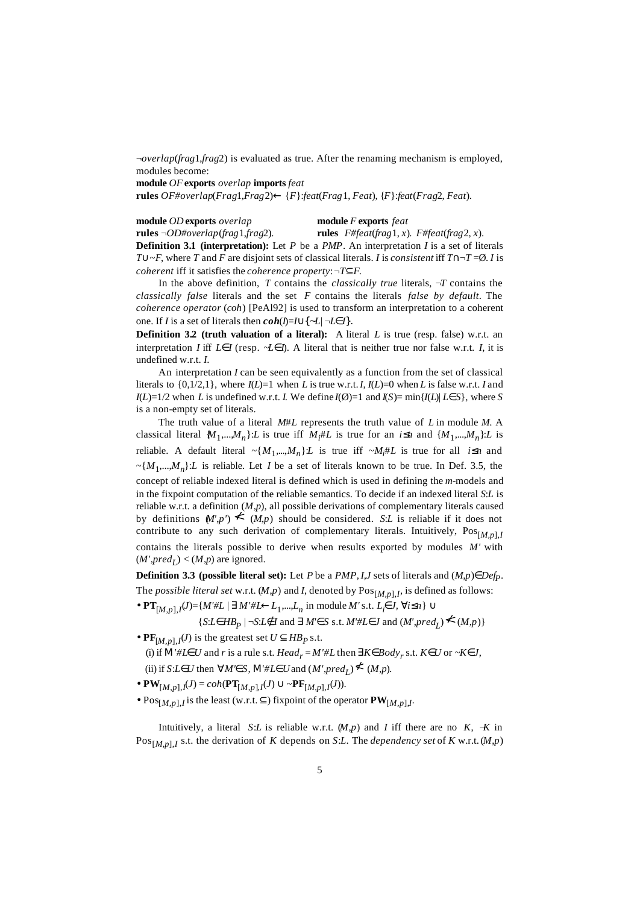¬*overlap*(*frag*1,*frag*2) is evaluated as true. After the renaming mechanism is employed, modules become:

**module** *OF* **exports** *overlap* **imports** *feat*

**rules** *OF#overlap*(*Frag*1,*Frag*2)← {*F*}:*feat*(*Frag*1, *Feat*), {*F*}:*feat*(*Frag*2, *Feat*).

**module** *OD* **exports** *overlap* **module** *F* **exports** *feat* **rules** ¬*OD#overlap*(*frag*1,*frag*2). **rules** *F#feat*(*frag*1, *x*). *F#feat*(*frag*2, *x*). **Definition 3.1 (interpretation):** Let *P* be a *PMP*. An interpretation *I* is a set of literals *T*∪~*F*, where *T* and *F* are disjoint sets of classical literals. *I* is *consistent* iff *T*∩¬*T* =Ø. *I* is *coherent* iff it satisfies the *coherence property*: ¬*T*⊆*F*.

In the above definition, *T* contains the *classically true* literals,  $\neg$ *T* contains the *classically false* literals and the set *F* contains the literals *false by default*. The *coherence operator* (*coh*) [PeAl92] is used to transform an interpretation to a coherent one. If *I* is a set of literals then  $\mathbf{coh}(I) = I \cup \{-L | \neg L \in I\}$ .

**Definition 3.2 (truth valuation of a literal):** A literal *L* is true (resp. false) w.r.t. an interpretation *I* iff *L*∈*I* (resp.  $\neg$ *L*∈*I*). A literal that is neither true nor false w.r.t. *I*, it is undefined w.r.t. *I*.

An interpretation *I* can be seen equivalently as a function from the set of classical literals to  $\{0, 1/2, 1\}$ , where  $I(L)=1$  when *L* is true w.r.t. *I*,  $I(L)=0$  when *L* is false w.r.t. *I* and *I*(*L*)=1/2 when *L* is undefined w.r.t. *I*. We define  $I(\emptyset) = 1$  and  $I(S) = \min\{I(L) | L \in S\}$ , where *S* is a non-empty set of literals.

The truth value of a literal *M*#*L* represents the truth value of *L* in module *M*. A classical literal  $\{M_1, ..., M_n\}$ :*L* is true iff  $M_i \# L$  is true for an  $i \leq n$  and  $\{M_1, ..., M_n\}$ :*L* is reliable. A default literal  $\sim$ { $M_1$ ,..., $M_n$ }:*L* is true iff  $\sim$  $M_i$ #*L* is true for all *i*≤*n* and  $\sim$ { $M_1$ ,..., $M_n$ }:*L* is reliable. Let *I* be a set of literals known to be true. In Def. 3.5, the concept of reliable indexed literal is defined which is used in defining the *m-*models and in the fixpoint computation of the reliable semantics. To decide if an indexed literal *S*:*L* is reliable w.r.t. a definition (*M*,*p*), all possible derivations of complementary literals caused by definitions  $(M', p') \nleq (M, p)$  should be considered. *S:L* is reliable if it does not contribute to any such derivation of complementary literals. Intuitively,  $Pos_{[M, p], I}$ contains the literals possible to derive when results exported by modules *M'* with  $(M', pred_L) < (M,p)$  are ignored.

**Definition 3.3 (possible literal set):** Let *P* be a *PMP*, *I*,*J* sets of literals and (*M,p*)∈*DefP*. The *possible literal set* w.r.t.  $(M, p)$  and *I*, denoted by  $Pos_{[M, p], I}$ , is defined as follows:

• **PT**[*M,p*],*<sup>I</sup>* (*J*)={*M'#L* | ∃ *M'#L*←*L*<sup>1</sup> ,...,*L<sup>n</sup>* in module *M'* s.t. *Li*∈*J,* ∀*i*≤*n*} ∪

{*S*:*L*∈*HB*<sub>*P*</sub> | ¬*S*:*L*∉*I* and ∃ *M'*∈*S* s.t. *M'*#*L*∈*J* and (*M'*,*pred<sub><i>L*</sub>)</sub>  $\le$  (*M*,*p*)}

- $PF_{[M,p],I}(J)$  is the greatest set  $U \subseteq HB_P$  s.t. (i) if  $M' \# L \in U$  and *r* is a rule s.t.  $Head_r = M' \# L$  then  $\exists K \in Body_r$  s.t.  $K \in U$  or  $\sim K \in J$ , (ii) if *S*:*L*∈*U* then  $\forall M \in S$ , *M'***#***L***∈** *U* and  $(M', pred_L)$ <sup> $\not\leq$ </sup>  $(M, p)$ .
- **PW**<sub>[*M,p*]</sub>*,(J*) = *coh*(**PT**<sub>[*M,p*]</sub>*,(J*) ∪ ~**PF**<sub>[*M,p*]*,I*</sub>*(J*)).
- $Pos_{[M,p],I}$  is the least (w.r.t.  $\subseteq$ ) fixpoint of the operator  $PW_{[M,p],I}$ .

Intuitively, a literal *S*:*L* is reliable w.r.t.  $(M, p)$  and *I* iff there are no *K*,  $\overline{K}$  in Pos[*M,p*],*<sup>I</sup>* s.t. the derivation of *K* depends on *S*:*L*. The *dependency set* of *K* w.r.t. (*M*,*p*)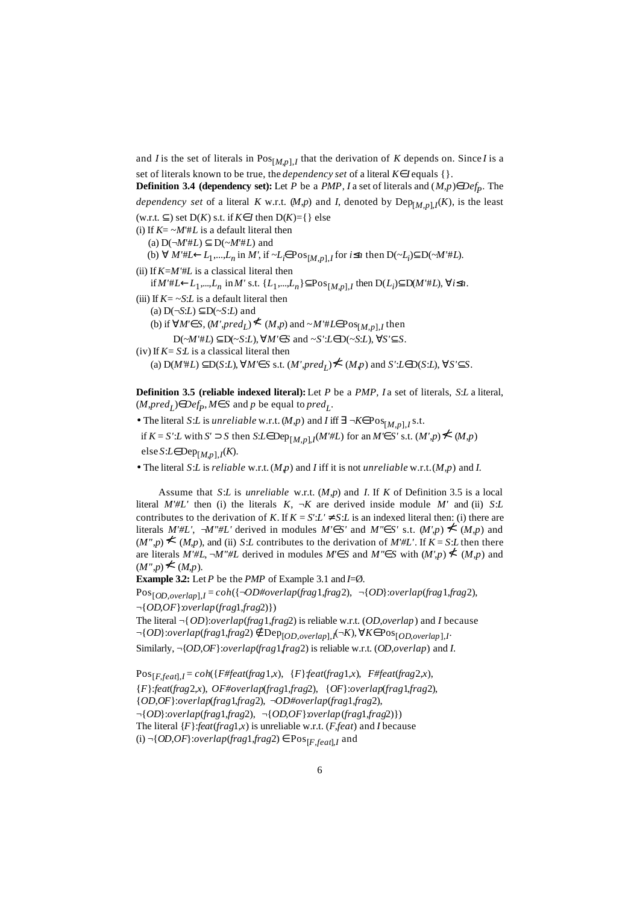and *I* is the set of literals in  $Pos_{[M,p],I}$  that the derivation of *K* depends on. Since *I* is a set of literals known to be true, the *dependency set* of a literal *K*∈*I* equals {}.

**Definition 3.4 (dependency set):** Let *P* be a *PMP*, *I* a set of literals and (*M,p*)∈*Def<sup>P</sup>* . The *dependency set* of a literal *K* w.r.t.  $(M, p)$  and *I*, denoted by  $Dep_{[M, p], I}(K)$ , is the least (w.r.t. ⊆) set  $D(K)$  s.t. if  $K \in I$  then  $D(K) = \{ \}$  else (i) If  $K = \sim M' \# L$  is a default literal then

(a)  $D(¬M'#L) ⊂ D(¬M'#L)$  and (b)  $\forall$  *M'*#L $\leftarrow$ *L*<sub>1</sub>,...,*L*<sub>n</sub> in *M'*, if  $\sim$ *L*<sub>f</sub> $\in$  Pos<sub>[*M,p*],*I*</sub> for *i*≤*n* then D( $\sim$ *L*<sub>*i*</sub>) $\subseteq$ D( $\sim$ *M'*#*L*). (ii) If *K*=*M'*#*L* is a classical literal then if *M*′#*L*←*L*<sub>1</sub>,...,*L*<sub>*n*</sub></sub> in *M*′ s.t. {*L*<sub>1</sub>,...,*L*<sub>*n*</sub>}⊆Pos<sub>[*M*,*p*],*I*</sub> then D(*L<sub>i</sub>*)⊆D(*M*′#*L*), ∀*i*≤*n*. (iii) If  $K = -S$ :*L* is a default literal then (a) D( $\neg$ *S*:*L*) ⊆D( $\neg$ *S*:*L*) and (b) if ∀*M*'∈*S*,  $(M', pred_L)$ <sup> $\not\leq$ </sup>  $(M, p)$  and ~*M'*#*L*∈Pos<sub>[*M,p*],*I*</sub> then D( $\sim$ *M'*#*L*) ⊂D( $\sim$ *S*:*L*), ∀*M'*∈*S* and  $\sim$ *S'*:*L*∈D( $\sim$ *S*:*L*), ∀*S'*⊂*S*. (iv) If  $K = S \mathcal{L}$  is a classical literal then

(a)  $D(M#L) ⊆ D(S:L)$ , ∀*M'*∈*S* s.t.  $(M', pred_L)$  ≮  $(Mp)$  and *S*': $L ∈ D(S:L)$ , ∀*S'* $⊆ S$ .

**Definition 3.5 (reliable indexed literal):**Let *P* be a *PMP, I* a set of literals, *S*:*L* a literal,  $(M,pred<sub>L</sub>)∈Def<sub>P</sub>, M∈S and p be equal to pred<sub>L</sub>.$ 

• The literal *S*:*L* is *unreliable* w.r.t. (*M*,*p*) and *I* iff ∃ ¬*K*∈Pos[*M,p*],*<sup>I</sup>* s.t. if *K* = *S'*:*L* with *S'* ⊃ *S* then *S*:*L*∈Dep<sub>[*M,p*],*I*</sub>(*M'*#*L*) for an *M'*∈ *S'* s.t. (*M',p*)  $\neq$  (*M,p*) else *S*:*L*∈Dep[*M,p*],*<sup>I</sup>* (*K*).

• The literal *S*:*L* is *reliable* w.r.t.(*M*,*p*) and *I* iff it is not *unreliable* w.r.t.(*M*,*p*) and *I.*

Assume that *S*:*L* is *unreliable* w.r.t. (*M*,*p*) and *I*. If *K* of Definition 3.5 is a local literal  $M''\#L'$  then (i) the literals  $K$ ,  $\neg K$  are derived inside module  $M'$  and (ii) *S*:*L* contributes to the derivation of *K*. If  $K = S'L' \neq S.L$  is an indexed literal then: (i) there are literals *M'*#L', ¬*M'*<sup>\*#L'</sup> derived in modules *M'*∈*S'* and *M'*∈*S'* s.t.  $(M', p)$  <del>≮</del>  $(M, p)$  and  $(M'', p) \nless (M, p)$ , and (ii) *S*:*L* contributes to the derivation of *M'#L'*. If  $K = S$ :*L* then there are literals  $M'#L$ , ¬ $M''#L$  derived in modules  $M' \in S$  and  $M'' \in S$  with  $(M', p) \nleq (M, p)$  and  $(M'',p) \nless (M,p).$ 

**Example 3.2:** Let *P* be the *PMP* of Example 3.1 and *I*=Ø.

Pos[*OD*,*overlap*],*<sup>I</sup>* = *coh*({¬*OD#overlap*(*frag*1,*frag*2), ¬{*OD*}:*overlap*(*frag*1,*frag*2), ¬{*OD*,*OF*}:*overlap*(*frag*1,*frag*2)})

The literal ¬{*OD*}:*overlap*(*frag*1,*frag*2) is reliable w.r.t. (*OD*,*overlap*) and *I* because ¬{*OD*}:*overlap*(*frag*1,*frag*2) ∉ Dep[*OD*,*overlap*],*<sup>I</sup>* (¬*K*), ∀*K*∈Pos[*OD*,*overlap*],*<sup>I</sup>* . Similarly, ¬{*OD*,*OF*}:*overlap*(*frag*1,*frag*2) is reliable w.r.t. (*OD*,*overlap*) and *I*.

 $Pos_{[F,feat],I} = coh({F#feat(frag1,x), F}_{\text{f}$ :*feat*(*frag*1,*x*), *F#feat*(*frag*2,*x*), {*F*}:*feat*(*frag*2,*x*), *OF#overlap*(*frag*1,*frag*2), {*OF*}:*overlap*(*frag*1,*frag*2), {*OD*,*OF*}:*overlap*(*frag*1,*frag*2), ¬*OD#overlap*(*frag*1,*frag*2), ¬{*OD*}:*overlap*(*frag*1,*frag*2), ¬{*OD*,*OF*}:*overlap*(*frag*1,*frag*2)}) The literal {*F*}:*feat*(*frag*1,*x*) is unreliable w.r.t. (*F*,*feat*) and *I* because (i) ¬{ $OD, OF$ }:*overlap*( $frag1, frag2$ ) ∈  $Pos_{[F,feat], I}$  and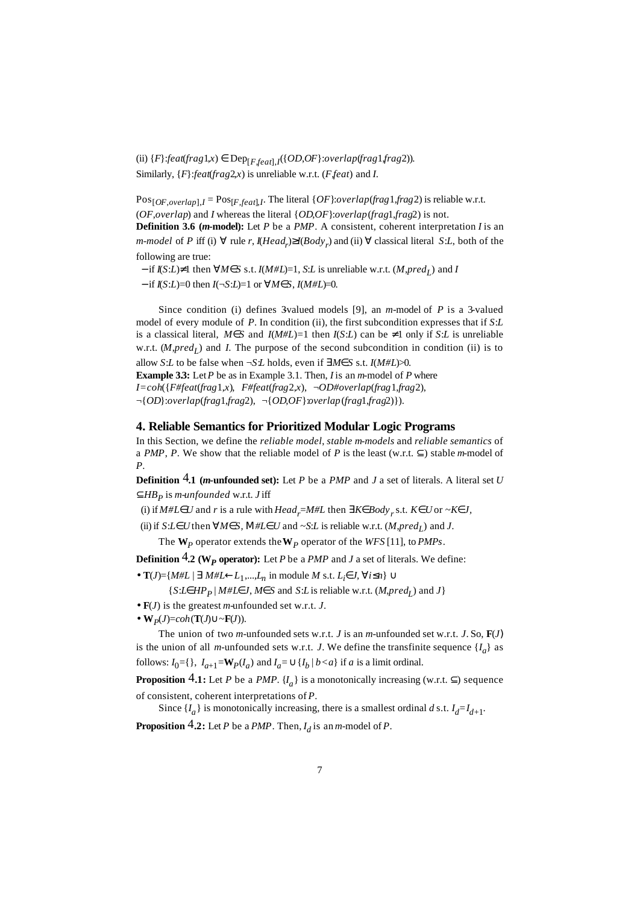(ii) {*F*}:*feat*(*frag*1,*x*) ∈ Dep[*F*,*feat*],*<sup>I</sup>* ({*OD*,*OF*}:*overlap*(*frag*1,*frag*2)). Similarly, {*F*}:*feat*(*frag*2,*x*) is unreliable w.r.t. (*F*,*feat*) and *I*.

 $Pos_{[OF, overlap], I} = Pos_{[F, feat], I}$ . The literal  ${OF}$ :*overlap*(*frag* 1,*frag* 2) is reliable w.r.t. (*OF*,*overlap*) and *I* whereas the literal {*OD*,*OF*}:*overlap*(*frag*1,*frag*2) is not. **Definition 3.6 (***m-***model):** Let *P* be a *PMP*. A consistent, coherent interpretation *I* is an *m-model* of *P* iff (i)  $\forall$  rule *r*, *I*(*Head*<sub>*r*</sub>)≥*I*(*Body*<sub>*r*</sub>)</sub> and (ii)  $\forall$  classical literal *S*:*L*, both of the following are true:

 − if *I*(*S*:*L*)≠1 then ∀*M*∈*S* s.t. *I*(*M#L*)=1, *S*:*L* is unreliable w.r.t. (*M*,*pred<sup>L</sup>* ) and *I* − if *I*(*S*:*L*)=0 then *I*(¬*S*:*L*)=1 or ∀*M*∈*S*, *I*(*M#L*)=0.

Since condition (i) defines 3-valued models [9], an *m*-model of *P* is a 3-valued model of every module of *P*. In condition (ii), the first subcondition expresses that if *S*:*L* is a classical literal, *M*∈*S* and *I*(*M#L*)=1 then *I*(*S*:*L*) can be ≠1 only if *S*:*L* is unreliable w.r.t. (*M*,*pred<sup>L</sup>* ) and *I*. The purpose of the second subcondition in condition (ii) is to allow *S*:*L* to be false when ¬*S*:*L* holds, even if ∃*M*∈*S* s.t. *I*(*M#L*)>0.

**Example 3.3:** Let *P* be as in Example 3.1. Then, *I* is an *m-*model of *P* where *I=coh*({*F#feat*(*frag*1,*x*), *F#feat*(*frag*2,*x*), ¬*OD#overlap*(*frag*1,*frag*2), ¬{*OD*}:*overlap*(*frag*1,*frag*2), ¬{*OD*,*OF*}:*overlap*(*frag*1,*frag*2)}).

### **4. Reliable Semantics for Prioritized Modular Logic Programs**

In this Section, we define the *reliable model*, *stable m-models* and *reliable semantics* of a *PMP*, *P*. We show that the reliable model of *P* is the least (w.r.t.  $\subseteq$ ) stable *m*-model of *P*.

**Definition** 4**.1 (***m-***unfounded set):** Let *P* be a *PMP* and *J* a set of literals. A literal set *U*  ⊆*HB<sup>P</sup>* is *m-unfounded* w.r.t. *J* iff

(i) if  $M \# L \in U$  and *r* is a rule with  $Head_r = M \# L$  then  $\exists K \in Body_r$  s.t.  $K \in U$  or  $\sim K \in J$ ,

(ii) if *S*: $L \in U$  then  $\forall M \in S$ ,  $M \# L \in U$  and  $\sim S$ : $L$  is reliable w.r.t.  $(M, pred_L)$  and  $J$ .

The  $\mathbf{W}_P$  operator extends the  $\mathbf{W}_P$  operator of the *WFS* [11], to *PMPs*.

**Definition <sup>4</sup>.2 (W<sub>P</sub> operator):** Let *P* be a *PMP* and *J* a set of literals. We define:

• **T**(*J*)={*M#L* | ∃ *M#L*←*L*<sup>1</sup> ,...,*Ln* in module *M* s.t. *Li*∈*J,* ∀*i*≤*n*} ∪

{*S*:*L*∈*HP<sup>P</sup>* | *M#L*∈*J*, *M*∈*S* and *S*:*L* is reliable w.r.t. (*M*,*pred<sup>L</sup>* ) and *J*}

- **F**(*J*) is the greatest *m-*unfounded set w.r.t. *J*.
- **W***<sup>P</sup>* (*J*)=*coh*(**T**(*J*)∪~**F**(*J*)).

The union of two *m-*unfounded sets w.r.t. *J* is an *m-*unfounded set w.r.t. *J*. So, **F**(*J*) is the union of all *m*-unfounded sets w.r.t. *J*. We define the transfinite sequence  $\{I_a\}$  as follows:  $I_0 = \{\}, \ I_{a+1} = \mathbf{W}_P(I_a) \text{ and } I_a = \bigcup \{I_b \mid b < a\} \text{ if } a \text{ is a limit ordinal.}$ 

**Proposition** <sup>4</sup>**.1:** Let *P* be a *PMP*. {*I*<sub>*a*</sub>} is a monotonically increasing (w.r.t.  $\subseteq$ ) sequence of consistent, coherent interpretations of *P*.

Since  $\{I_a\}$  is monotonically increasing, there is a smallest ordinal *d* s.t.  $I_d = I_{d+1}$ .

**Proposition**  $4.2$ : Let *P* be a *PMP*. Then,  $I_d$  is an *m*-model of *P*.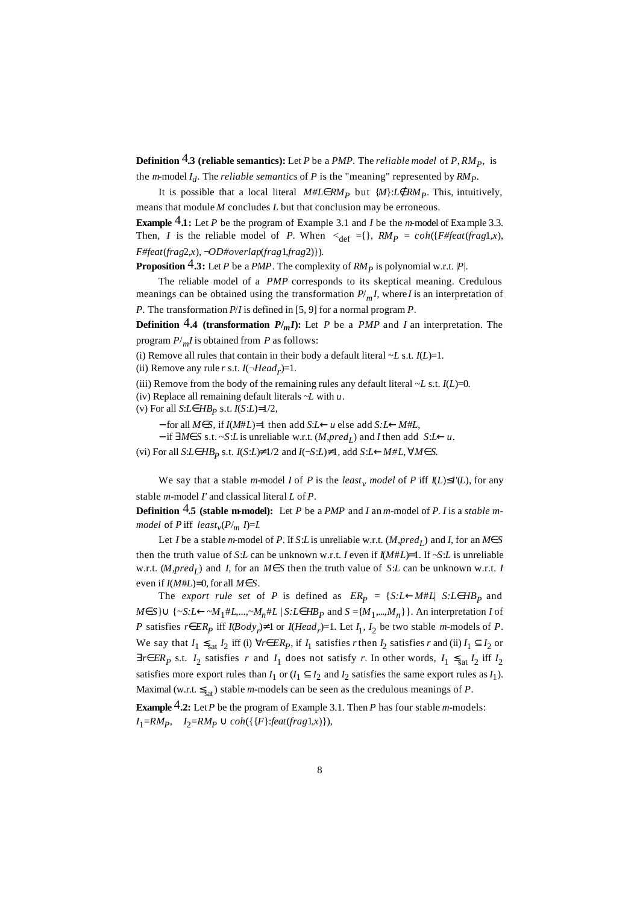**Definition** 4**.3 (reliable semantics):** Let *P* be a *PMP*. The *reliable model* of *P*, *RM<sup>P</sup>* , is

the *m*-model *Id* . The *reliable semantics* of *P* is the "meaning" represented by *RMP*.

It is possible that a local literal  $M#L \in RM_P$  but  $\{M\}$ :*L*∉*RM*<sub>*P*</sub>. This, intuitively, means that module *M* concludes *L* but that conclusion may be erroneous.

**Example** 4**.1:** Let *P* be the program of Example 3.1 and *I* be the *m-*model of Example 3.3. Then, *I* is the reliable model of *P*. When  $\lt_{def} = \{\}$ ,  $RM_p = \text{coh}(\text{F#} \text{feat} \text{frac} \text{1}, x)$ , *F#feat*(*frag*2,*x*), ¬*OD#overlap*(*frag*1,*frag*2)}).

**Proposition**  $4.3$ : Let *P* be a *PMP*. The complexity of  $RM_p$  is polynomial w.r.t. |*P*|.

The reliable model of a *PMP* corresponds to its skeptical meaning. Credulous meanings can be obtained using the transformation *P*/*<sup>m</sup> I*, where *I* is an interpretation of *P*. The transformation *P*/*I* is defined in [5, 9] for a normal program *P*.

**Definition** <sup>4</sup>.4 (**transformation**  $P/mI$ ): Let *P* be a *PMP* and *I* an interpretation. The program *P*/*<sup>m</sup> I* is obtained from *P* as follows:

(i) Remove all rules that contain in their body a default literal  $\sim L$  s.t.  $I(L)=1$ .

(ii) Remove any rule *r* s.t.  $I(\neg Head_r)=1$ .

(iii) Remove from the body of the remaining rules any default literal  $\sim L$  s.t.  $I(L)=0$ .

(iv) Replace all remaining default literals ~*L* with *u*.

(v) For all *S*:*L*∈*HB<sup>P</sup>* s.t. *I*(*S*:*L*)=1/2,

− for all *M*∈*S,* if *I*(*M*#*L*)=1 then add *S*:*L*←*u* else add *S:L*←*M*#*L*,

− if ∃*M*∈*S* s.t. *~S*:*L* is unreliable w.r.t. (*M*,*pred<sup>L</sup>* ) and *I* then add *S*:*L*←*u*.

(vi) For all *S*:*L*∈*HB<sup>P</sup>* s.t. *I*(*S*:*L*)≠1/2 and *I*(¬*S*:*L*)≠1, add *S*:*L*←*M#L*, ∀*M*∈*S.*

We say that a stable *m*-model *I* of *P* is the *least*<sub>*v*</sub> model of *P* iff  $I(L)\leq I'(L)$ , for any stable *m*-model *I'* and classical literal *L* of *P*.

**Definition** 4**.5 (stable m-model):** Let *P* be a *PMP* and *I* an *m-*model of *P*. *I* is a *stable mmodel* of *P* iff  $least_v(P/m)$  *I*)=*I*.

Let *I* be a stable *m-*model of *P*. If *S*:*L* is unreliable w.r.t. (*M*,*pred<sup>L</sup>* ) and *I*, for an *M*∈*S* then the truth value of *S*:*L* can be unknown w.r.t. *I* even if *I*(*M*#*L*)=1. If ~*S*:*L* is unreliable w.r.t. (*M*,*pred<sup>L</sup>* ) and *I*, for an *M*∈*S* then the truth value of *S*:*L* can be unknown w.r.t. *I* even if  $I(M#L)=0$ , for all  $M \in S$ .

The *export rule set* of *P* is defined as  $ER_p = \{S: L \leftarrow M \# L | S: L \in HB_p \text{ and } P \}$ *M*∈*S*}∪ {~*S:L*←~*M*<sub>1</sub>#*L*,...,~*M<sub>n</sub>*#*L* | *S:L*∈*HB<sub>P</sub>* and *S* ={*M*<sub>1</sub>,...,*M*<sub>n</sub>}}. An interpretation *I* of *P* satisfies  $r ∈ ER$ <sup>*p*</sup> iff  $I(Body) ≠ 1$  or  $I(Head<sub>r</sub>) = 1$ . Let  $I<sub>1</sub>, I<sub>2</sub>$  be two stable *m*-models of *P*. We say that  $I_1 \leq_{\text{sat}} I_2$  iff (i)  $\forall r \in ER_p$ , if  $I_1$  satisfies *r* then  $I_2$  satisfies *r* and (ii)  $I_1 \subseteq I_2$  or ∃*r*∈*ERP* s.t. *I*<sub>2</sub> satisfies *r* and *I*<sub>1</sub> does not satisfy *r*. In other words, *I*<sub>1</sub>  $\leq_{\text{sat}}$  *I*<sub>2</sub> iff *I*<sub>2</sub> satisfies more export rules than  $I_1$  or  $(I_1 \subseteq I_2$  and  $I_2$  satisfies the same export rules as  $I_1$ ). Maximal (w.r.t.  $\leq_{\text{cst}}$ ) stable *m*-models can be seen as the credulous meanings of *P*.

**Example** 4**.2:** Let *P* be the program of Example 3.1. Then *P* has four stable *m-*models:  $I_1 = RM_P$ ,  $I_2 = RM_P \cup coh({F}:feat(frag1,x))$ ,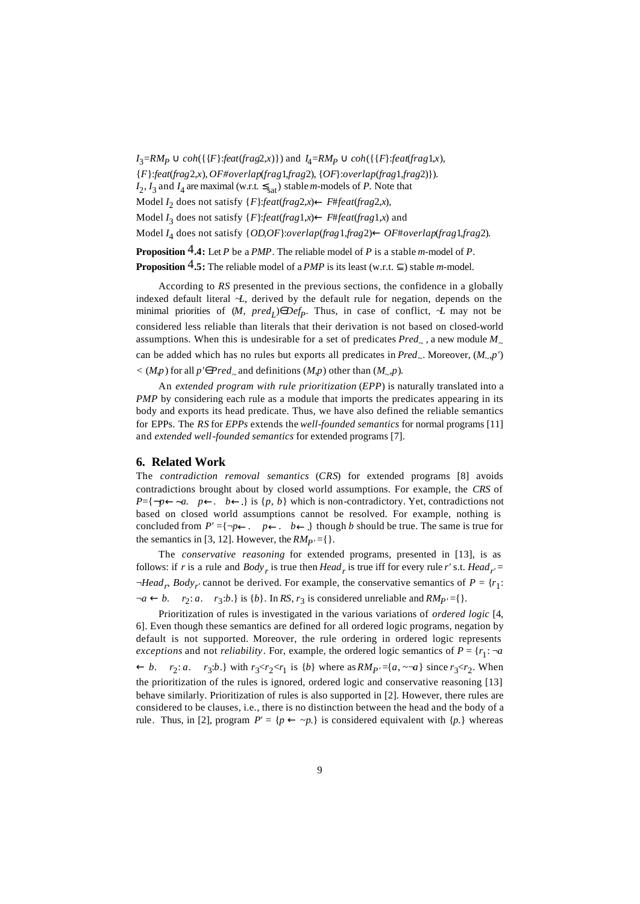$I_3 = RM_p \cup coh({F; feta(frag2, x)})$  and  $I_4 = RM_p \cup coh({F; feta(frag1, x)})$ , {*F*}:*feat*(*frag*2,*x*), *OF#overlap*(*frag*1,*frag*2), {*OF*}:*overlap*(*frag*1,*frag*2)}).  $I_2$ ,  $I_3$  and  $I_4$  are maximal (w.r.t.  $\leq_{\text{sat}}$ ) stable *m*-models of *P*. Note that Model *I* 2 does not satisfy {*F*}:*feat*(*frag*2,*x*)← *F*#*feat*(*frag*2,*x*), Model *I* 3 does not satisfy {*F*}:*feat*(*frag*1,*x*)← *F*#*feat*(*frag*1,*x*) and Model *I* 4 does not satisfy {*OD*,*OF*}:*overlap*(*frag*1,*frag*2)← *OF*#*overlap*(*frag*1,*frag*2). **Proposition** 4**.4:** Let *P* be a *PMP*. The reliable model of *P* is a stable *m-*model of *P*.

**Proposition <sup>4</sup>.5:** The reliable model of a *PMP* is its least (w.r.t.  $\subseteq$ ) stable *m*-model.

According to *RS* presented in the previous sections, the confidence in a globally indexed default literal  $\mathcal{A}$ , derived by the default rule for negation, depends on the minimal priorities of  $(M, pred<sub>L</sub>) \in Def<sub>P</sub>$ . Thus, in case of conflict,  $\sim L$  may not be considered less reliable than literals that their derivation is not based on closed-world assumptions. When this is undesirable for a set of predicates  $Pred_{\sim}$ , a new module  $M_{\sim}$ can be added which has no rules but exports all predicates in *Pred*<sub>~</sub>. Moreover, (*M*<sub>~</sub>,*p*') *<* (*M,p*) for all *p'*∈*Pred*<sup>~</sup> and definitions (*M,p*) other than (*M*<sup>~</sup> ,*p*)*.*

An *extended program with rule prioritization* (*EPP*) is naturally translated into a *PMP* by considering each rule as a module that imports the predicates appearing in its body and exports its head predicate. Thus, we have also defined the reliable semantics for EPPs. The *RS* for *EPPs* extends the *well-founded semantics* for normal programs [11] and *extended well-founded semantics* for extended programs [7].

# **6. Related Work**

The *contradiction removal semantics* (*CRS*) for extended programs [8] avoids contradictions brought about by closed world assumptions. For example, the *CRS* of *P*={¬*p*←∼*a*. *p*←. *b*←} is {*p, b*} which is non-contradictory. Yet, contradictions not based on closed world assumptions cannot be resolved. For example, nothing is concluded from  $P' = \{\neg p \leftarrow. \quad p \leftarrow. \quad b \leftarrow.\}$  though *b* should be true. The same is true for the semantics in [3, 12]. However, the  $RM_{P'} = \{\}.$ 

The *conservative reasoning* for extended programs, presented in [13], is as follows: if *r* is a rule and  $Body_r$  is true then  $Head_r$  is true iff for every rule *r'* s.t.  $Head_r =$  $\neg Head_r$ , *Body<sub>r</sub>* cannot be derived. For example, the conservative semantics of  $P = \{r_1 :$  $\neg a \leftarrow b$ .  $r_2$ : *a*.  $r_3$ :*b*.} is {*b*}. In *RS*,  $r_3$  is considered unreliable and *RMp'* ={}.

Prioritization of rules is investigated in the various variations of *ordered logic* [4, 6]. Even though these semantics are defined for all ordered logic programs, negation by default is not supported. Moreover, the rule ordering in ordered logic represents *exceptions* and not *reliability*. For, example, the ordered logic semantics of  $P = \{r_1 : \neg a$  $\leftarrow b$ . *r*<sub>2</sub>: *a*. *r*<sub>3</sub>:*b*.} with *r*<sub>3</sub><*r*<sub>2</sub><*r*<sub>1</sub> is {*b*} where as *RM*<sub>*P'*</sub> ={*a*, ~-*a*} since *r*<sub>3</sub><*r*<sub>2</sub>. When the prioritization of the rules is ignored, ordered logic and conservative reasoning [13] behave similarly. Prioritization of rules is also supported in [2]. However, there rules are considered to be clauses, i.e., there is no distinction between the head and the body of a rule. Thus, in [2], program  $P' = \{p \leftarrow \neg p\}$  is considered equivalent with  $\{p\}$  whereas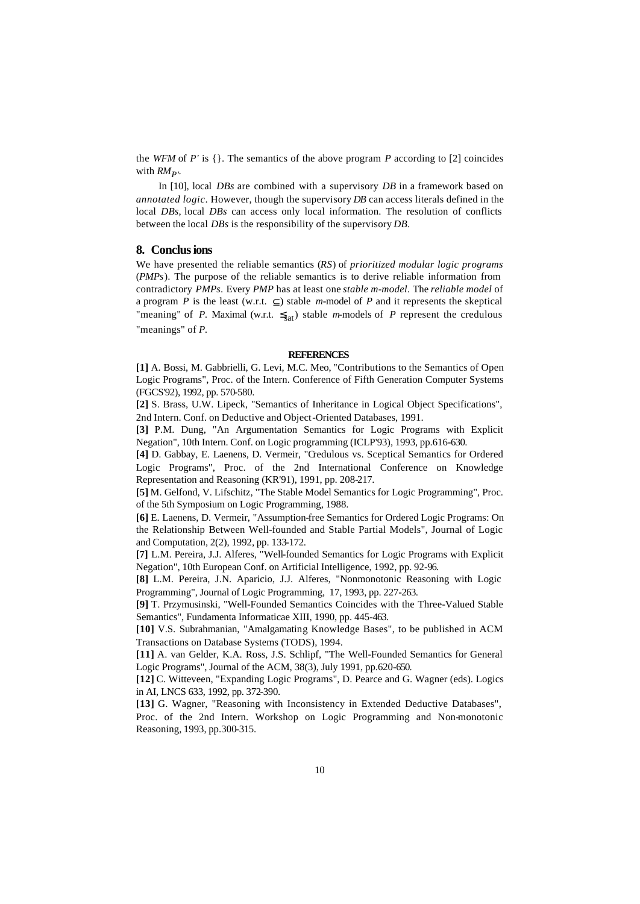the *WFM* of *P'* is {}. The semantics of the above program *P* according to [2] coincides with *RMP'*.

In [10], local *DBs* are combined with a supervisory *DB* in a framework based on *annotated logic*. However, though the supervisory *DB* can access literals defined in the local *DBs*, local *DBs* can access only local information. The resolution of conflicts between the local *DBs* is the responsibility of the supervisory *DB*.

# **8. Conclusions**

We have presented the reliable semantics (*RS*) of *prioritized modular logic programs* (*PMPs*). The purpose of the reliable semantics is to derive reliable information from contradictory *PMPs*. Every *PMP* has at least one *stable m-model*. The *reliable model* of a program *P* is the least (w.r.t.  $\subseteq$ ) stable *m*-model of *P* and it represents the skeptical "meaning" of *P*. Maximal (w.r.t.  $\leq_{\text{sat}}$ ) stable *m*-models of *P* represent the credulous "meanings" of *P.*

#### **REFERENCES**

**[1]** A. Bossi, M. Gabbrielli, G. Levi, M.C. Meo, "Contributions to the Semantics of Open Logic Programs", Proc. of the Intern. Conference of Fifth Generation Computer Systems (FGCS'92), 1992, pp. 570-580.

**[2]** S. Brass, U.W. Lipeck, "Semantics of Inheritance in Logical Object Specifications", 2nd Intern. Conf. on Deductive and Object-Oriented Databases, 1991.

**[3]** P.M. Dung, "An Argumentation Semantics for Logic Programs with Explicit Negation", 10th Intern. Conf. on Logic programming (ICLP'93), 1993, pp.616-630.

**[4]** D. Gabbay, E. Laenens, D. Vermeir, "Credulous vs. Sceptical Semantics for Ordered Logic Programs", Proc. of the 2nd International Conference on Knowledge Representation and Reasoning (KR'91), 1991, pp. 208-217.

**[5]** M. Gelfond, V. Lifschitz, "The Stable Model Semantics for Logic Programming", Proc. of the 5th Symposium on Logic Programming, 1988.

**[6]** E. Laenens, D. Vermeir, "Assumption-free Semantics for Ordered Logic Programs: On the Relationship Between Well-founded and Stable Partial Models", Journal of Logic and Computation, 2(2), 1992, pp. 133-172.

**[7]** L.M. Pereira, J.J. Alferes, "Well-founded Semantics for Logic Programs with Explicit Negation", 10th European Conf. on Artificial Intelligence, 1992, pp. 92-96.

**[8]** L.M. Pereira, J.N. Aparicio, J.J. Alferes, "Nonmonotonic Reasoning with Logic Programming", Journal of Logic Programming, 17, 1993, pp. 227-263.

**[9]** T. Przymusinski, "Well-Founded Semantics Coincides with the Three-Valued Stable Semantics", Fundamenta Informaticae XIII, 1990, pp. 445-463.

**[10]** V.S. Subrahmanian, "Amalgamating Knowledge Bases", to be published in ACM Transactions on Database Systems (TODS), 1994.

**[11]** A. van Gelder, K.A. Ross, J.S. Schlipf, "The Well-Founded Semantics for General Logic Programs", Journal of the ACM, 38(3), July 1991, pp.620-650.

**[12]** C. Witteveen, "Expanding Logic Programs", D. Pearce and G. Wagner (eds). Logics in AI, LNCS 633, 1992, pp. 372-390.

**[13]** G. Wagner, "Reasoning with Inconsistency in Extended Deductive Databases", Proc. of the 2nd Intern. Workshop on Logic Programming and Non-monotonic Reasoning, 1993, pp.300-315.